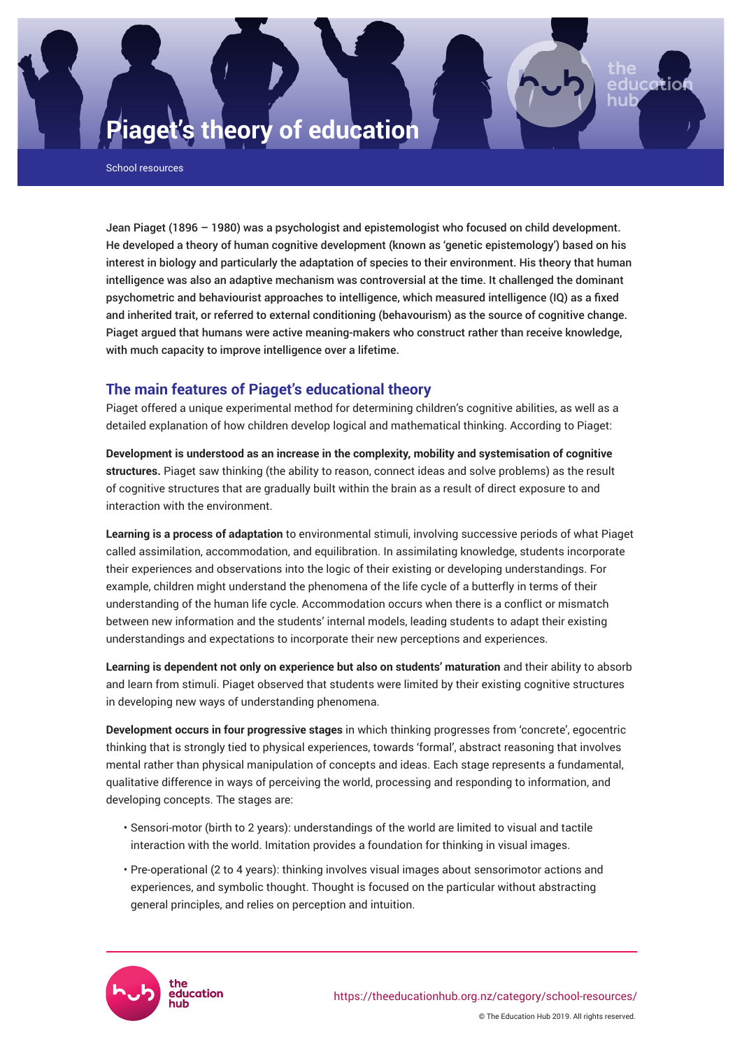# **Piaget's theory of education**

School resources

Jean Piaget (1896 – 1980) was a psychologist and epistemologist who focused on child development. He developed a theory of human cognitive development (known as 'genetic epistemology') based on his interest in biology and particularly the adaptation of species to their environment. His theory that human intelligence was also an adaptive mechanism was controversial at the time. It challenged the dominant psychometric and behaviourist approaches to intelligence, which measured intelligence (IQ) as a fixed and inherited trait, or referred to external conditioning (behavourism) as the source of cognitive change. Piaget argued that humans were active meaning-makers who construct rather than receive knowledge, with much capacity to improve intelligence over a lifetime.

# **The main features of Piaget's educational theory**

Piaget offered a unique experimental method for determining children's cognitive abilities, as well as a detailed explanation of how children develop logical and mathematical thinking. According to Piaget:

**Development is understood as an increase in the complexity, mobility and systemisation of cognitive structures.** Piaget saw thinking (the ability to reason, connect ideas and solve problems) as the result of cognitive structures that are gradually built within the brain as a result of direct exposure to and interaction with the environment.

**Learning is a process of adaptation** to environmental stimuli, involving successive periods of what Piaget called assimilation, accommodation, and equilibration. In assimilating knowledge, students incorporate their experiences and observations into the logic of their existing or developing understandings. For example, children might understand the phenomena of the life cycle of a butterfly in terms of their understanding of the human life cycle. Accommodation occurs when there is a conflict or mismatch between new information and the students' internal models, leading students to adapt their existing understandings and expectations to incorporate their new perceptions and experiences.

**Learning is dependent not only on experience but also on students' maturation** and their ability to absorb and learn from stimuli. Piaget observed that students were limited by their existing cognitive structures in developing new ways of understanding phenomena.

**Development occurs in four progressive stages** in which thinking progresses from 'concrete', egocentric thinking that is strongly tied to physical experiences, towards 'formal', abstract reasoning that involves mental rather than physical manipulation of concepts and ideas. Each stage represents a fundamental, qualitative difference in ways of perceiving the world, processing and responding to information, and developing concepts. The stages are:

- Sensori-motor (birth to 2 years): understandings of the world are limited to visual and tactile interaction with the world. Imitation provides a foundation for thinking in visual images.
- Pre-operational (2 to 4 years): thinking involves visual images about sensorimotor actions and experiences, and symbolic thought. Thought is focused on the particular without abstracting general principles, and relies on perception and intuition.

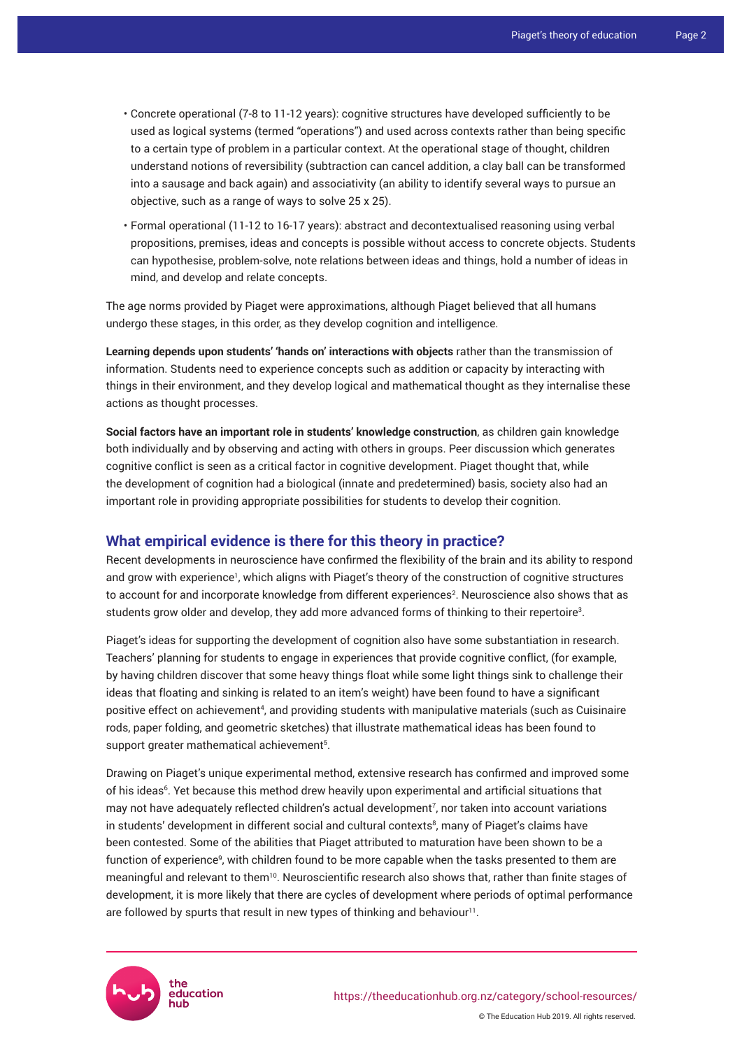- Concrete operational (7-8 to 11-12 years): cognitive structures have developed sufficiently to be used as logical systems (termed "operations") and used across contexts rather than being specific to a certain type of problem in a particular context. At the operational stage of thought, children understand notions of reversibility (subtraction can cancel addition, a clay ball can be transformed into a sausage and back again) and associativity (an ability to identify several ways to pursue an objective, such as a range of ways to solve 25 x 25).
- Formal operational (11-12 to 16-17 years): abstract and decontextualised reasoning using verbal propositions, premises, ideas and concepts is possible without access to concrete objects. Students can hypothesise, problem-solve, note relations between ideas and things, hold a number of ideas in mind, and develop and relate concepts.

The age norms provided by Piaget were approximations, although Piaget believed that all humans undergo these stages, in this order, as they develop cognition and intelligence.

**Learning depends upon students' 'hands on' interactions with objects** rather than the transmission of information. Students need to experience concepts such as addition or capacity by interacting with things in their environment, and they develop logical and mathematical thought as they internalise these actions as thought processes.

**Social factors have an important role in students' knowledge construction**, as children gain knowledge both individually and by observing and acting with others in groups. Peer discussion which generates cognitive conflict is seen as a critical factor in cognitive development. Piaget thought that, while the development of cognition had a biological (innate and predetermined) basis, society also had an important role in providing appropriate possibilities for students to develop their cognition.

#### **What empirical evidence is there for this theory in practice?**

Recent developments in neuroscience have confirmed the flexibility of the brain and its ability to respond and grow with experience<sup>1</sup>, which aligns with Piaget's theory of the construction of cognitive structures to account for and incorporate knowledge from different experiences<sup>2</sup>. Neuroscience also shows that as students grow older and develop, they add more advanced forms of thinking to their repertoire<sup>3</sup>.

Piaget's ideas for supporting the development of cognition also have some substantiation in research. Teachers' planning for students to engage in experiences that provide cognitive conflict, (for example, by having children discover that some heavy things float while some light things sink to challenge their ideas that floating and sinking is related to an item's weight) have been found to have a significant positive effect on achievement<sup>4</sup>, and providing students with manipulative materials (such as Cuisinaire rods, paper folding, and geometric sketches) that illustrate mathematical ideas has been found to support greater mathematical achievement<sup>5</sup>.

Drawing on Piaget's unique experimental method, extensive research has confirmed and improved some of his ideas<sup>6</sup>. Yet because this method drew heavily upon experimental and artificial situations that may not have adequately reflected children's actual development<sup>7</sup> , nor taken into account variations in students' development in different social and cultural contexts<sup>8</sup>, many of Piaget's claims have been contested. Some of the abilities that Piaget attributed to maturation have been shown to be a function of experience<sup>9</sup>, with children found to be more capable when the tasks presented to them are meaningful and relevant to them<sup>10</sup>. Neuroscientific research also shows that, rather than finite stages of development, it is more likely that there are cycles of development where periods of optimal performance are followed by spurts that result in new types of thinking and behaviour $11$ .

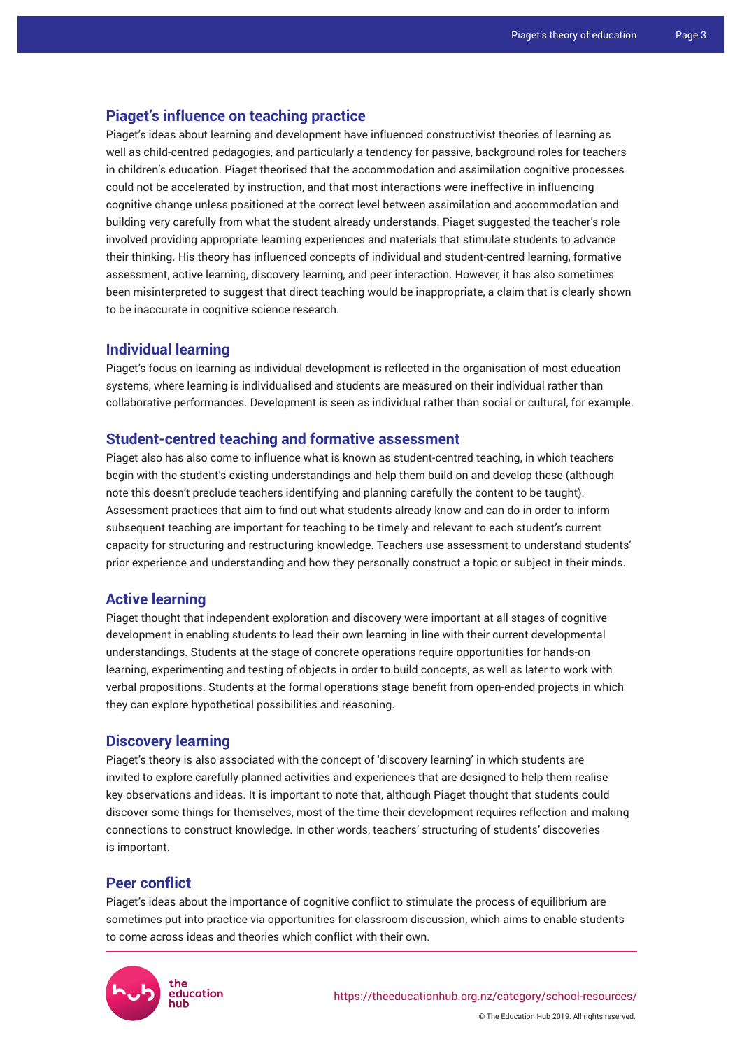### **Piaget's influence on teaching practice**

Piaget's ideas about learning and development have influenced constructivist theories of learning as well as child-centred pedagogies, and particularly a tendency for passive, background roles for teachers in children's education. Piaget theorised that the accommodation and assimilation cognitive processes could not be accelerated by instruction, and that most interactions were ineffective in influencing cognitive change unless positioned at the correct level between assimilation and accommodation and building very carefully from what the student already understands. Piaget suggested the teacher's role involved providing appropriate learning experiences and materials that stimulate students to advance their thinking. His theory has influenced concepts of individual and student-centred learning, formative assessment, active learning, discovery learning, and peer interaction. However, it has also sometimes been misinterpreted to suggest that direct teaching would be inappropriate, a claim that is clearly shown to be inaccurate in cognitive science research.

### **Individual learning**

Piaget's focus on learning as individual development is reflected in the organisation of most education systems, where learning is individualised and students are measured on their individual rather than collaborative performances. Development is seen as individual rather than social or cultural, for example.

#### **Student-centred teaching and formative assessment**

Piaget also has also come to influence what is known as student-centred teaching, in which teachers begin with the student's existing understandings and help them build on and develop these (although note this doesn't preclude teachers identifying and planning carefully the content to be taught). Assessment practices that aim to find out what students already know and can do in order to inform subsequent teaching are important for teaching to be timely and relevant to each student's current capacity for structuring and restructuring knowledge. Teachers use assessment to understand students' prior experience and understanding and how they personally construct a topic or subject in their minds.

### **Active learning**

Piaget thought that independent exploration and discovery were important at all stages of cognitive development in enabling students to lead their own learning in line with their current developmental understandings. Students at the stage of concrete operations require opportunities for hands-on learning, experimenting and testing of objects in order to build concepts, as well as later to work with verbal propositions. Students at the formal operations stage benefit from open-ended projects in which they can explore hypothetical possibilities and reasoning.

## **Discovery learning**

Piaget's theory is also associated with the concept of 'discovery learning' in which students are invited to explore carefully planned activities and experiences that are designed to help them realise key observations and ideas. It is important to note that, although Piaget thought that students could discover some things for themselves, most of the time their development requires reflection and making connections to construct knowledge. In other words, teachers' structuring of students' discoveries is important.

### **Peer conflict**

Piaget's ideas about the importance of cognitive conflict to stimulate the process of equilibrium are sometimes put into practice via opportunities for classroom discussion, which aims to enable students to come across ideas and theories which conflict with their own.